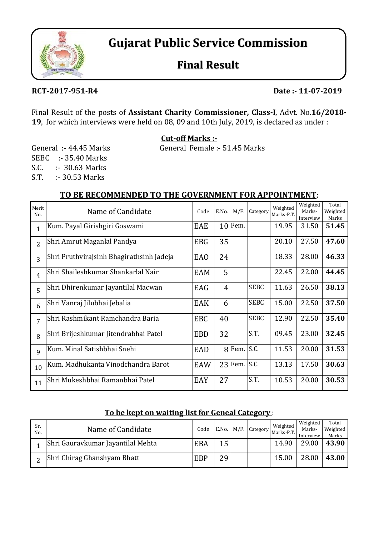

# **Gujarat Public Service Commission**

## **Final Result**

#### **RCT‐2017‐951‐R4 Date :‐ 11‐07‐2019**

Final Result of the posts of **Assistant Charity Commissioner, Class‐I**, Advt. No.**16/2018‐ 19**, for which interviews were held on 08, 09 and 10th July, 2019, is declared as under :

**Cut‐off Marks :‐**

General :- 44.45 Marks General Female :- 51.45 Marks

S.C. :- 30.63 Marks S.T. :- 30.53 Marks SEBC :- 35.40 Marks

#### **TO BE RECOMMENDED TO THE GOVERNMENT FOR APPOINTMENT**:

| Merit<br>No.   | Name of Candidate                        | Code       | E.No.          | M/F.          | Category    | Weighted<br>Marks-P.T. | Weighted<br>Marks-<br>Interview | Total<br>Weighted<br>Marks |
|----------------|------------------------------------------|------------|----------------|---------------|-------------|------------------------|---------------------------------|----------------------------|
| $\mathbf{1}$   | Kum. Payal Girishgiri Goswami            | EAE        |                | $10$ Fem.     |             | 19.95                  | 31.50                           | 51.45                      |
| $\overline{2}$ | Shri Amrut Maganlal Pandya               | <b>EBG</b> | 35             |               |             | 20.10                  | 27.50                           | 47.60                      |
| 3              | Shri Pruthvirajsinh Bhagirathsinh Jadeja | <b>EAO</b> | 24             |               |             | 18.33                  | 28.00                           | 46.33                      |
| $\overline{4}$ | Shri Shaileshkumar Shankarlal Nair       | EAM        | 5              |               |             | 22.45                  | 22.00                           | 44.45                      |
| 5              | Shri Dhirenkumar Jayantilal Macwan       | EAG        | $\overline{4}$ |               | <b>SEBC</b> | 11.63                  | 26.50                           | 38.13                      |
| 6              | Shri Vanraj Jilubhai Jebalia             | EAK        | 6              |               | <b>SEBC</b> | 15.00                  | 22.50                           | 37.50                      |
| 7              | Shri Rashmikant Ramchandra Baria         | <b>EBC</b> | 40             |               | <b>SEBC</b> | 12.90                  | 22.50                           | 35.40                      |
| 8              | Shri Brijeshkumar Jitendrabhai Patel     | <b>EBD</b> | 32             |               | S.T.        | 09.45                  | 23.00                           | 32.45                      |
| 9              | Kum. Minal Satishbhai Snehi              | EAD        |                | $8$ Fem. S.C. |             | 11.53                  | 20.00                           | 31.53                      |
| 10             | Kum. Madhukanta Vinodchandra Barot       | EAW        |                | 23 Fem. S.C.  |             | 13.13                  | 17.50                           | 30.63                      |
| 11             | Shri Mukeshbhai Ramanbhai Patel          | EAY        | 27             |               | S.T.        | 10.53                  | 20.00                           | 30.53                      |

#### **To be kept on waiting list for Geneal Category** :

| Sr.<br>No. | Name of Candidate                 | Code       |                 | E.No. M/F. Category | Weighted<br>Marks-P.T. | Weighted<br>Marks-<br>Interview | Total<br>Weighted<br>Marks |
|------------|-----------------------------------|------------|-----------------|---------------------|------------------------|---------------------------------|----------------------------|
|            | Shri Gauravkumar Jayantilal Mehta | <b>EBA</b> | 15              |                     | 14.90                  | 29.00                           | 43.90                      |
|            | Shri Chirag Ghanshyam Bhatt       | <b>EBP</b> | 29 <sub>1</sub> |                     | 15.00                  | 28.00                           | 43.00                      |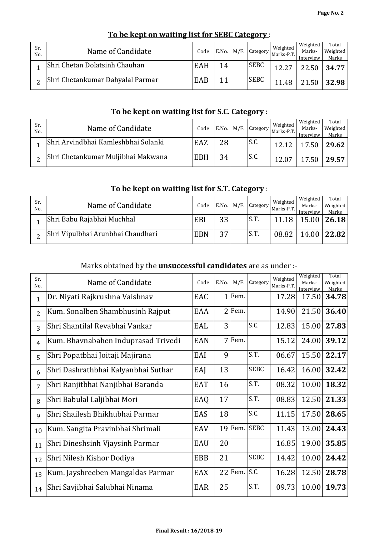| Sr.<br>No. | Name of Candidate                | Code |                 | E.No. M/F. Category | Weighted<br>Marks-P.T. | Weighted<br>Marks-<br>Interview | Total<br>Weighted<br>Marks |
|------------|----------------------------------|------|-----------------|---------------------|------------------------|---------------------------------|----------------------------|
|            | Shri Chetan Dolatsinh Chauhan    | EAH  | 14 <sub>l</sub> | <b>SEBC</b>         | 12.27                  | 22.50                           | 34.77                      |
|            | Shri Chetankumar Dahyalal Parmar | EAB  | 11              | <b>SEBC</b>         | .48                    | 21.50                           | 32.98                      |

#### **To be kept on waiting list for SEBC Category** :

## **To be kept on waiting list for S.C. Category** :

| Sr.<br>No. | Name of Candidate                   | Code       |    | E.No. M/F. Category | Weighted<br>Marks-P.T. | Weighted<br>Marks-<br>Interview | Total<br>Weighted<br>Marks |
|------------|-------------------------------------|------------|----|---------------------|------------------------|---------------------------------|----------------------------|
|            | Shri Arvindbhai Kamleshbhai Solanki | EAZ        | 28 | S.C.                | 12.12                  | 17.50                           | 29.62                      |
|            | Shri Chetankumar Muljibhai Makwana  | <b>EBH</b> | 34 | IS.C.               | 12.07                  | 17.50                           | 29.57                      |

## **To be kept on waiting list for S.T. Category** :

| Sr.<br>No. | Name of Candidate                 | Code       |    | E.No. M/F. Category | Weighted<br>Marks-P.T | Weighted<br>Marks-<br>Interview | Total<br>Weighted<br>Marks |
|------------|-----------------------------------|------------|----|---------------------|-----------------------|---------------------------------|----------------------------|
|            | Shri Babu Rajabhai Muchhal        | EBI        | 33 | IS.T.               |                       |                                 | 15.00   26.18              |
|            | Shri Vipulbhai Arunbhai Chaudhari | <b>EBN</b> | 27 | S.T.                | 08.82                 |                                 | 14.00   22.82              |

#### Marks obtained by the **unsuccessful candidates** are as under :-

| Sr.<br>No.     | Name of Candidate                   | Code       | E.No. | M/F.      | Category    | Weighted<br>Marks-P.T. | Weighted<br>Marks-<br>Interview | Total<br>Weighted<br>Marks |
|----------------|-------------------------------------|------------|-------|-----------|-------------|------------------------|---------------------------------|----------------------------|
| $\mathbf{1}$   | Dr. Niyati Rajkrushna Vaishnav      | EAC        |       | $1$ Fem.  |             | 17.28                  | 17.50                           | 34.78                      |
| $\overline{2}$ | Kum. Sonalben Shambhusinh Rajput    | EAA        |       | $2$ Fem.  |             | 14.90                  | 21.50                           | 36.40                      |
| 3              | Shri Shantilal Revabhai Vankar      | EAL        | 3     |           | S.C.        | 12.83                  | 15.00                           | 27.83                      |
| $\overline{4}$ | Kum. Bhavnabahen Induprasad Trivedi | <b>EAN</b> |       | 7 Fem.    |             | 15.12                  | 24.00                           | 39.12                      |
| 5              | Shri Popatbhai Joitaji Majirana     | EAI        | 9     |           | S.T.        | 06.67                  | 15.50                           | 22.17                      |
| 6              | Shri Dashrathbhai Kalyanbhai Suthar | EAJ        | 13    |           | <b>SEBC</b> | 16.42                  | 16.00                           | 32.42                      |
| 7              | Shri Ranjitbhai Nanjibhai Baranda   | <b>EAT</b> | 16    |           | S.T.        | 08.32                  | 10.00                           | 18.32                      |
| 8              | Shri Babulal Laljibhai Mori         | EAQ        | 17    |           | S.T.        | 08.83                  | 12.50                           | 21.33                      |
| 9              | Shri Shailesh Bhikhubhai Parmar     | EAS        | 18    |           | S.C.        | 11.15                  | 17.50                           | 28.65                      |
| 10             | Kum. Sangita Pravinbhai Shrimali    | EAV        |       | 19 Fem.   | <b>SEBC</b> | 11.43                  | 13.00                           | 24.43                      |
| 11             | Shri Dineshsinh Vjaysinh Parmar     | EAU        | 20    |           |             | 16.85                  | 19.00                           | 35.85                      |
| 12             | Shri Nilesh Kishor Dodiya           | <b>EBB</b> | 21    |           | <b>SEBC</b> | 14.42                  | 10.00                           | 24.42                      |
| 13             | Kum. Jayshreeben Mangaldas Parmar   | EAX        |       | $22$ Fem. | S.C.        | 16.28                  | 12.50                           | 28.78                      |
| 14             | Shri Savjibhai Salubhai Ninama      | EAR        | 25    |           | S.T.        | 09.73                  | 10.00                           | 19.73                      |